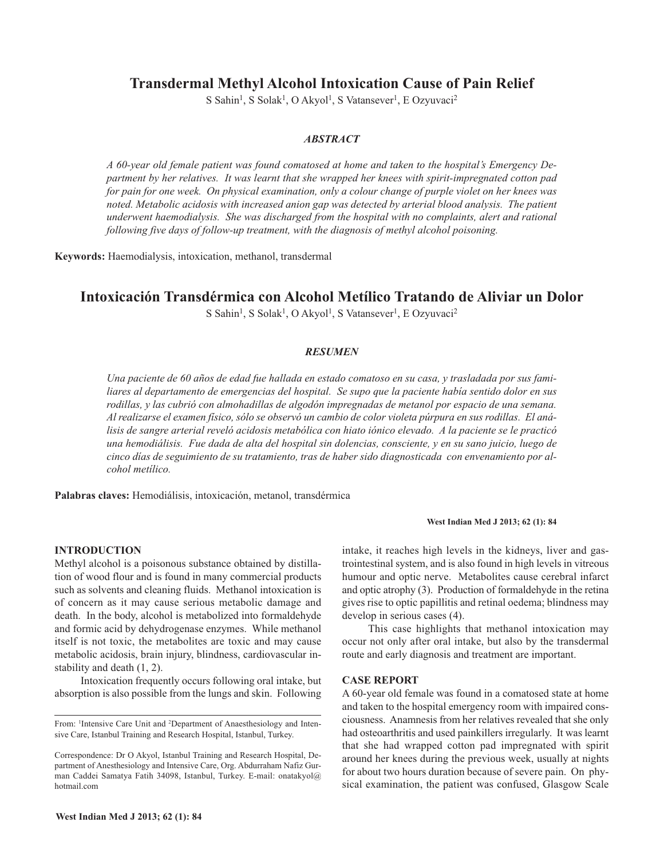# **Transdermal Methyl Alcohol Intoxication Cause of Pain Relief**

S Sahin<sup>1</sup>, S Solak<sup>1</sup>, O Akyol<sup>1</sup>, S Vatansever<sup>1</sup>, E Ozyuvaci<sup>2</sup>

# *ABSTRACT*

*A 60-year old female patient was found comatosed at home and taken to the hospital's Emergency Department by her relatives. It was learnt that she wrapped her knees with spirit-impregnated cotton pad* for pain for one week. On physical examination, only a colour change of purple violet on her knees was *noted. Metabolic acidosis with increased anion gap was detected by arterial blood analysis. The patient underwent haemodialysis. She was discharged from the hospital with no complaints, alert and rational following five days of follow-up treatment, with the diagnosis of methyl alcohol poisoning.*

**Keywords:** Haemodialysis, intoxication, methanol, transdermal

# **Intoxicación Transdérmica con Alcohol Metílico Tratando de Aliviar un Dolor**

S Sahin<sup>1</sup>, S Solak<sup>1</sup>, O Akyol<sup>1</sup>, S Vatansever<sup>1</sup>, E Ozyuvaci<sup>2</sup>

## *RESUMEN*

Una paciente de 60 años de edad fue hallada en estado comatoso en su casa, y trasladada por sus fami*liares al departamento de emergencias del hospital. Se supo que la paciente había sentido dolor en sus rodillas, y las cubrió con almohadillas de algodón impregnadas de metanol por espacio de una semana.* Al realizarse el examen físico, sólo se observó un cambio de color violeta púrpura en sus rodillas. El análisis de sangre arterial reveló acidosis metabólica con hiato iónico elevado. A la paciente se le practicó una hemodiálisis. Fue dada de alta del hospital sin dolencias, consciente, y en su sano juicio, luego de *cinco días de seguimiento de su tratamiento, tras de haber sido diagnosticada con envenamiento por alcohol metílico.*

**Palabras claves:** Hemodiálisis, intoxicación, metanol, transdérmica

#### **INTRODUCTION**

Methyl alcohol is a poisonous substance obtained by distillation of wood flour and is found in many commercial products such as solvents and cleaning fluids. Methanol intoxication is of concern as it may cause serious metabolic damage and death. In the body, alcohol is metabolized into formaldehyde and formic acid by dehydrogenase enzymes. While methanol itself is not toxic, the metabolites are toxic and may cause metabolic acidosis, brain injury, blindness, cardiovascular instability and death (1, 2).

Intoxication frequently occurs following oral intake, but absorption is also possible from the lungs and skin. Following intake, it reaches high levels in the kidneys, liver and gastrointestinal system, and is also found in high levels in vitreous humour and optic nerve. Metabolites cause cerebral infarct and optic atrophy (3). Production of formaldehyde in the retina gives rise to optic papillitis and retinal oedema; blindness may develop in serious cases (4).

**West Indian Med J 2013; 62 (1): 84**

This case highlights that methanol intoxication may occur not only after oral intake, but also by the transdermal route and early diagnosis and treatment are important.

#### **CASE REPORT**

A 60-year old female was found in a comatosed state at home and taken to the hospital emergency room with impaired consciousness. Anamnesis from her relatives revealed that she only had osteoarthritis and used painkillers irregularly. It was learnt that she had wrapped cotton pad impregnated with spirit around her knees during the previous week, usually at nights for about two hours duration because of severe pain. On physical examination, the patient was confused, Glasgow Scale

From: <sup>1</sup>Intensive Care Unit and <sup>2</sup>Department of Anaesthesiology and Intensive Care, Istanbul Training and Research Hospital, Istanbul, Turkey.

Correspondence: Dr O Akyol, Istanbul Training and Research Hospital, Department of Anesthesiology and Intensive Care, Org. Abdurraham Nafiz Gurman Caddei Samatya Fatih 34098, Istanbul, Turkey. E-mail: onatakyol@ hotmail.com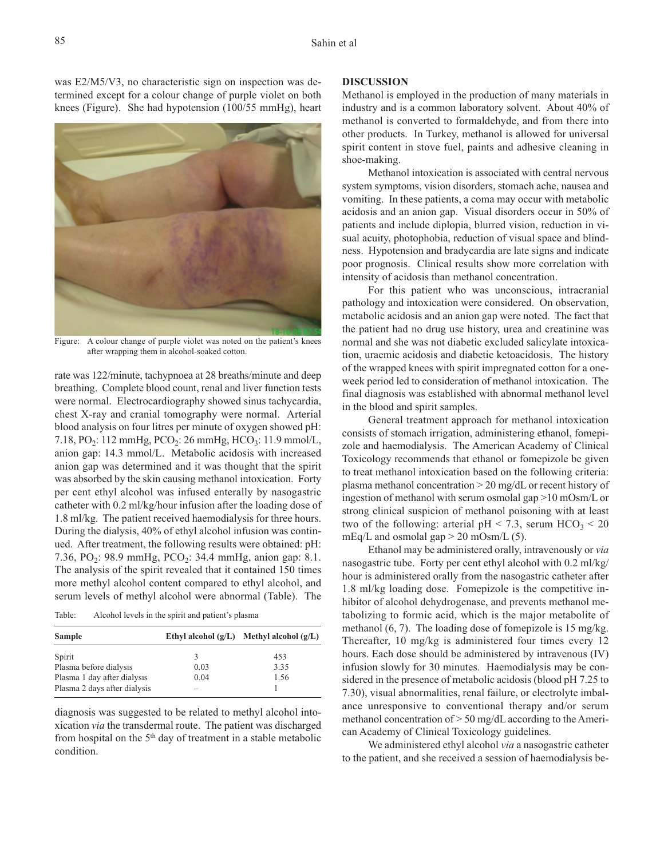was E2/M5/V3, no characteristic sign on inspection was determined except for a colour change of purple violet on both knees (Figure). She had hypotension (100/55 mmHg), heart



Figure: A colour change of purple violet was noted on the patient's knees after wrapping them in alcohol-soaked cotton.

rate was 122/minute, tachypnoea at 28 breaths/minute and deep breathing. Complete blood count, renal and liver function tests were normal. Electrocardiography showed sinus tachycardia, chest X-ray and cranial tomography were normal. Arterial blood analysis on four litres per minute of oxygen showed pH: 7.18, PO<sub>2</sub>: 112 mmHg, PCO<sub>2</sub>: 26 mmHg, HCO<sub>3</sub>: 11.9 mmol/L, anion gap: 14.3 mmol/L. Metabolic acidosis with increased anion gap was determined and it was thought that the spirit was absorbed by the skin causing methanol intoxication. Forty per cent ethyl alcohol was infused enterally by nasogastric catheter with 0.2 ml/kg/hour infusion after the loading dose of 1.8 ml/kg. The patient received haemodialysis for three hours. During the dialysis, 40% of ethyl alcohol infusion was continued. After treatment, the following results were obtained: pH: 7.36, PO<sub>2</sub>: 98.9 mmHg, PCO<sub>2</sub>: 34.4 mmHg, anion gap: 8.1. The analysis of the spirit revealed that it contained 150 times more methyl alcohol content compared to ethyl alcohol, and serum levels of methyl alcohol were abnormal (Table). The

Table: Alcohol levels in the spirit and patient's plasma

| Sample                       |                          | Ethyl alcohol $(g/L)$ Methyl alcohol $(g/L)$ |
|------------------------------|--------------------------|----------------------------------------------|
| Spirit                       | 3                        | 453                                          |
| Plasma before dialysis       | 0.03                     | 3.35                                         |
| Plasma 1 day after dialysis  | 0.04                     | 1.56                                         |
| Plasma 2 days after dialysis | $\overline{\phantom{a}}$ |                                              |

diagnosis was suggested to be related to methyl alcohol intoxication *via* the transdermal route. The patient was discharged from hospital on the 5<sup>th</sup> day of treatment in a stable metabolic condition.

## **DISCUSSION**

Methanol is employed in the production of many materials in industry and is a common laboratory solvent. About 40% of methanol is converted to formaldehyde, and from there into other products. In Turkey, methanol is allowed for universal spirit content in stove fuel, paints and adhesive cleaning in shoe-making.

Methanol intoxication is associated with central nervous system symptoms, vision disorders, stomach ache, nausea and vomiting. In these patients, a coma may occur with metabolic acidosis and an anion gap. Visual disorders occur in 50% of patients and include diplopia, blurred vision, reduction in visual acuity, photophobia, reduction of visual space and blindness. Hypotension and bradycardia are late signs and indicate poor prognosis. Clinical results show more correlation with intensity of acidosis than methanol concentration.

For this patient who was unconscious, intracranial pathology and intoxication were considered. On observation, metabolic acidosis and an anion gap were noted. The fact that the patient had no drug use history, urea and creatinine was normal and she was not diabetic excluded salicylate intoxication, uraemic acidosis and diabetic ketoacidosis. The history of the wrapped knees with spirit impregnated cotton for a oneweek period led to consideration of methanol intoxication. The final diagnosis was established with abnormal methanol level in the blood and spirit samples.

General treatment approach for methanol intoxication consists of stomach irrigation, administering ethanol, fomepizole and haemodialysis. The American Academy of Clinical Toxicology recommends that ethanol or fomepizole be given to treat methanol intoxication based on the following criteria: plasma methanol concentration > 20 mg/dL or recent history of ingestion of methanol with serum osmolal gap >10 mOsm/L or strong clinical suspicion of methanol poisoning with at least two of the following: arterial pH < 7.3, serum  $HCO<sub>3</sub>$  < 20 mEq/L and osmolal gap  $> 20$  mOsm/L (5).

Ethanol may be administered orally, intravenously or *via* nasogastric tube. Forty per cent ethyl alcohol with 0.2 ml/kg/ hour is administered orally from the nasogastric catheter after 1.8 ml/kg loading dose. Fomepizole is the competitive inhibitor of alcohol dehydrogenase, and prevents methanol metabolizing to formic acid, which is the major metabolite of methanol (6, 7). The loading dose of fomepizole is 15 mg/kg. Thereafter, 10 mg/kg is administered four times every 12 hours. Each dose should be administered by intravenous (IV) infusion slowly for 30 minutes. Haemodialysis may be considered in the presence of metabolic acidosis (blood pH 7.25 to 7.30), visual abnormalities, renal failure, or electrolyte imbalance unresponsive to conventional therapy and/or serum methanol concentration of > 50 mg/dL according to the American Academy of Clinical Toxicology guidelines.

We administered ethyl alcohol *via* a nasogastric catheter to the patient, and she received a session of haemodialysis be